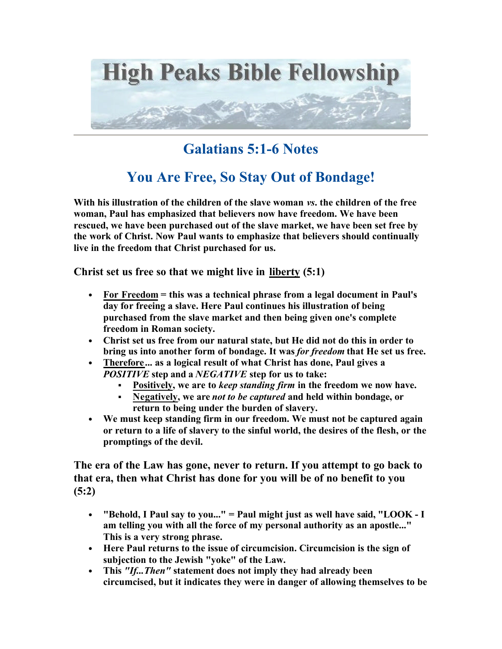

## **Galatians 5:1-6 Notes**

## **You Are Free, So Stay Out of Bondage!**

**With his illustration of the children of the slave woman** *vs***. the children of the free woman, Paul has emphasized that believers now have freedom. We have been rescued, we have been purchased out of the slave market, we have been set free by the work of Christ. Now Paul wants to emphasize that believers should continually live in the freedom that Christ purchased for us.** 

**Christ set us free so that we might live in liberty (5:1)**

- **For Freedom = this was a technical phrase from a legal document in Paul's day for freeing a slave. Here Paul continues his illustration of being purchased from the slave market and then being given one's complete freedom in Roman society.**
- **Christ set us free from our natural state, but He did not do this in order to bring us into another form of bondage. It was** *for freedom* **that He set us free.**
- **Therefore... as a logical result of what Christ has done, Paul gives a**  *POSITIVE* **step and a** *NEGATIVE* **step for us to take:** 
	- ß **Positively, we are to** *keep standing firm* **in the freedom we now have.**
	- ß **Negatively, we are** *not to be captured* **and held within bondage, or return to being under the burden of slavery.**
- **We must keep standing firm in our freedom. We must not be captured again or return to a life of slavery to the sinful world, the desires of the flesh, or the promptings of the devil.**

**The era of the Law has gone, never to return. If you attempt to go back to that era, then what Christ has done for you will be of no benefit to you (5:2)**

- **"Behold, I Paul say to you..." = Paul might just as well have said, "LOOK I am telling you with all the force of my personal authority as an apostle..." This is a very strong phrase.**
- **Here Paul returns to the issue of circumcision. Circumcision is the sign of subjection to the Jewish "yoke" of the Law.**
- **This** *"If...Then"* **statement does not imply they had already been circumcised, but it indicates they were in danger of allowing themselves to be**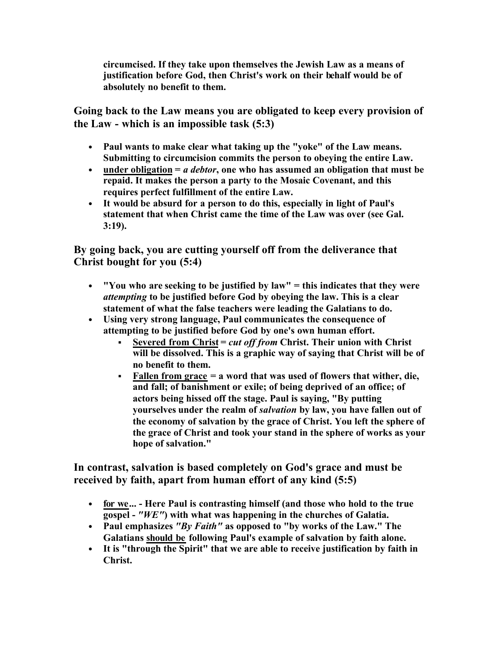**circumcised. If they take upon themselves the Jewish Law as a means of justification before God, then Christ's work on their behalf would be of absolutely no benefit to them.** 

**Going back to the Law means you are obligated to keep every provision of the Law - which is an impossible task (5:3)**

- **Paul wants to make clear what taking up the "yoke" of the Law means. Submitting to circumcision commits the person to obeying the entire Law.**
- **under obligation =** *a debtor***, one who has assumed an obligation that must be repaid. It makes the person a party to the Mosaic Covenant, and this requires perfect fulfillment of the entire Law.**
- **It would be absurd for a person to do this, especially in light of Paul's statement that when Christ came the time of the Law was over (see Gal. 3:19).**

**By going back, you are cutting yourself off from the deliverance that Christ bought for you (5:4)**

- **"You who are seeking to be justified by law" = this indicates that they were**  *attempting* **to be justified before God by obeying the law. This is a clear statement of what the false teachers were leading the Galatians to do.**
- **Using very strong language, Paul communicates the consequence of attempting to be justified before God by one's own human effort.** 
	- ß **Severed from Christ =** *cut off from* **Christ. Their union with Christ will be dissolved. This is a graphic way of saying that Christ will be of no benefit to them.**
	- ß **Fallen from grace = a word that was used of flowers that wither, die, and fall; of banishment or exile; of being deprived of an office; of actors being hissed off the stage. Paul is saying, "By putting yourselves under the realm of** *salvation* **by law, you have fallen out of the economy of salvation by the grace of Christ. You left the sphere of the grace of Christ and took your stand in the sphere of works as your hope of salvation."**

**In contrast, salvation is based completely on God's grace and must be received by faith, apart from human effort of any kind (5:5)**

- **for we... Here Paul is contrasting himself (and those who hold to the true gospel -** *"WE"***) with what was happening in the churches of Galatia.**
- **Paul emphasizes** *"By Faith"* **as opposed to "by works of the Law." The Galatians should be following Paul's example of salvation by faith alone.**
- **It is "through the Spirit" that we are able to receive justification by faith in Christ.**